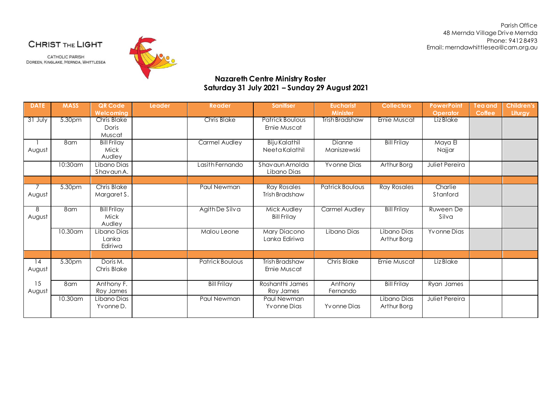Parish Office 48 Mernda Village Drive Mernda Phone: 9412 8493 Email: merndawhittlesea@cam.org.au

CHRIST THE LIGHT

CATHOLIC PARISH DOREEN, KINGLAKE, MERNDA, WHITTLESEA



## **Nazareth Centre Ministry Roster Saturday 31 July 2021 – Sunday 29 August 2021**

| <b>DATE</b>  | <b>MASS</b> | QR Code<br>Welcomina                  | Leader | Reader               | <b>Sanitiser</b>                         | <b>Eucharist</b><br><b>Minister</b> | <b>Collectors</b>          | <b>PowerPoint</b><br><b>Operator</b> | Tea and<br><b>Coffee</b> | <b>Children's</b><br>Liturgy |
|--------------|-------------|---------------------------------------|--------|----------------------|------------------------------------------|-------------------------------------|----------------------------|--------------------------------------|--------------------------|------------------------------|
| $31$ July    | 5.30pm      | <b>Chris Blake</b><br>Doris<br>Muscat |        | <b>Chris Blake</b>   | <b>Patrick Boulous</b><br>Ernie Muscat   | Trish Bradshaw                      | Ernie Muscat               | Liz Blake                            |                          |                              |
| August       | 8am         | <b>Bill Frilay</b><br>Mick<br>Audley  |        | <b>Carmel Audley</b> | <b>Biju Kalathil</b><br>Neeta Kalathil   | Dianne<br>Maniszewski               | <b>Bill Frilay</b>         | Maya El<br>Najjar                    |                          |                              |
|              | 10:30am     | Libano Dias<br>Shavaun A.             |        | Lasith Fernando      | Shav aun Arnolda<br>Libano Dias          | Yvonne Dias                         | Arthur Borg                | Juliet Pereira                       |                          |                              |
|              |             |                                       |        |                      |                                          |                                     |                            |                                      |                          |                              |
| August       | 5.30pm      | <b>Chris Blake</b><br>Margaret S.     |        | Paul Newman          | <b>Ray Rosales</b><br>Trish Bradshaw     | Patrick Boulous                     | <b>Ray Rosales</b>         | Charlie<br>Stanford                  |                          |                              |
| 8<br>August  | 8am         | <b>Bill Frilay</b><br>Mick<br>Audley  |        | Agith De Silva       | <b>Mick Audley</b><br><b>Bill Frilav</b> | Carmel Audley                       | <b>Bill Frilay</b>         | Ruween De<br>Silva                   |                          |                              |
|              | 10.30 am    | Libano Dias<br>Lanka<br>Ediriwa       |        | Malou Leone          | Mary Diacono<br>Lanka Ediriwa            | Libano Dias                         | Libano Dias<br>Arthur Borg | Yv onne Dias                         |                          |                              |
|              |             |                                       |        |                      |                                          |                                     |                            |                                      |                          |                              |
| 14<br>August | 5.30pm      | Doris M.<br>Chris Blake               |        | Patrick Boulous      | Trish Bradshaw<br>Ernie Muscat           | <b>Chris Blake</b>                  | Ernie Muscat               | Liz Blake                            |                          |                              |
| 15<br>August | 8am         | Anthony F.<br>Roy James               |        | <b>Bill Frilay</b>   | Roshanthi James<br>Roy James             | Anthony<br>Fernando                 | <b>Bill Frilay</b>         | Ryan James                           |                          |                              |
|              | 10.30am     | Libano Dias<br>Yvonne D.              |        | Paul Newman          | Paul Newman<br>Yvonne Dias               | Yvonne Dias                         | Libano Dias<br>Arthur Borg | Juliet Pereira                       |                          |                              |